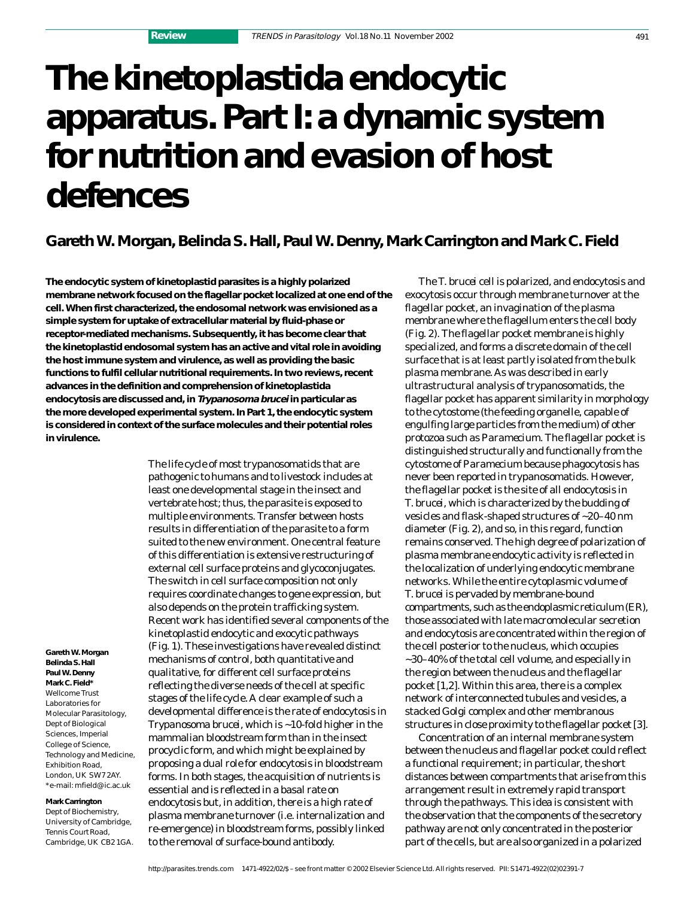# **The kinetoplastida endocytic apparatus. Part I: a dynamic system for nutrition and evasion of host defences**

## **Gareth W. Morgan, Belinda S. Hall, Paul W. Denny, Mark Carrington and Mark C. Field**

**The endocytic system of kinetoplastid parasites is a highly polarized membrane network focused on the flagellar pocket localized at one end of the cell. When first characterized, the endosomal network was envisioned as a simple system for uptake of extracellular material by fluid-phase or receptor-mediated mechanisms. Subsequently, it has become clear that the kinetoplastid endosomal system has an active and vital role in avoiding the host immune system and virulence, as well as providing the basic functions to fulfil cellular nutritional requirements. In two reviews, recent advances in the definition and comprehension of kinetoplastida endocytosis are discussed and, in Trypanosoma brucei in particular as the more developed experimental system. In Part 1, the endocytic system is considered in context of the surface molecules and their potential roles in virulence.**

> The life cycle of most trypanosomatids that are pathogenic to humans and to livestock includes at least one developmental stage in the insect and vertebrate host; thus, the parasite is exposed to multiple environments. Transfer between hosts results in differentiation of the parasite to a form suited to the new environment. One central feature of this differentiation is extensive restructuring of external cell surface proteins and glycoconjugates. The switch in cell surface composition not only requires coordinate changes to gene expression, but also depends on the protein trafficking system. Recent work has identified several components of the kinetoplastid endocytic and exocytic pathways (Fig. 1). These investigations have revealed distinct mechanisms of control, both quantitative and qualitative, for different cell surface proteins reflecting the diverse needs of the cell at specific stages of the life cycle. A clear example of such a developmental difference is the rate of endocytosis in *Trypanosoma brucei,* which is ~10-fold higher in the mammalian bloodstream form than in the insect procyclic form, and which might be explained by proposing a dual role for endocytosis in bloodstream forms. In both stages, the acquisition of nutrients is essential and is reflected in a basal rate on endocytosis but, in addition, there is a high rate of plasma membrane turnover (i.e. internalization and re-emergence) in bloodstream forms, possibly linked to the removal of surface-bound antibody.

**Gareth W. Morgan Belinda S. Hall Paul W. Denny Mark C. Field\*** Wellcome Trust Laboratories for Molecular Parasitology, Dept of Biological Sciences, Imperial College of Science, Technology and Medicine, Exhibition Road, London, UK SW7 2AY. \*e-mail: mfield@ic.ac.uk

**Mark Carrington** Dept of Biochemistry, University of Cambridge, Tennis Court Road, Cambridge, UK CB2 1GA.

The *T. brucei* cell is polarized, and endocytosis and exocytosis occur through membrane turnover at the flagellar pocket, an invagination of the plasma membrane where the flagellum enters the cell body (Fig. 2). The flagellar pocket membrane is highly specialized, and forms a discrete domain of the cell surface that is at least partly isolated from the bulk plasma membrane. As was described in early ultrastructural analysis of trypanosomatids, the flagellar pocket has apparent similarity in morphology to the cytostome (the feeding organelle, capable of engulfing large particles from the medium) of other protozoa such as *Paramecium.* The flagellar pocket is distinguished structurally and functionally from the cytostome of *Paramecium* because phagocytosis has never been reported in trypanosomatids. However, the flagellar pocket is the site of all endocytosis in *T. brucei*, which is characterized by the budding of vesicles and flask-shaped structures of ~20–40 nm diameter (Fig. 2), and so, in this regard, function remains conserved. The high degree of polarization of plasma membrane endocytic activity is reflected in the localization of underlying endocytic membrane networks. While the entire cytoplasmic volume of *T. brucei* is pervaded by membrane-bound compartments, such as the endoplasmic reticulum (ER), those associated with late macromolecular secretion and endocytosis are concentrated within the region of the cell posterior to the nucleus, which occupies ~30–40% of the total cell volume, and especially in the region between the nucleus and the flagellar pocket [1,2]. Within this area, there is a complex network of interconnected tubules and vesicles, a stacked Golgi complex and other membranous structures in close proximity to the flagellar pocket [3].

Concentration of an internal membrane system between the nucleus and flagellar pocket could reflect a functional requirement; in particular, the short distances between compartments that arise from this arrangement result in extremely rapid transport through the pathways. This idea is consistent with the observation that the components of the secretory pathway are not only concentrated in the posterior part of the cells, but are also organized in a polarized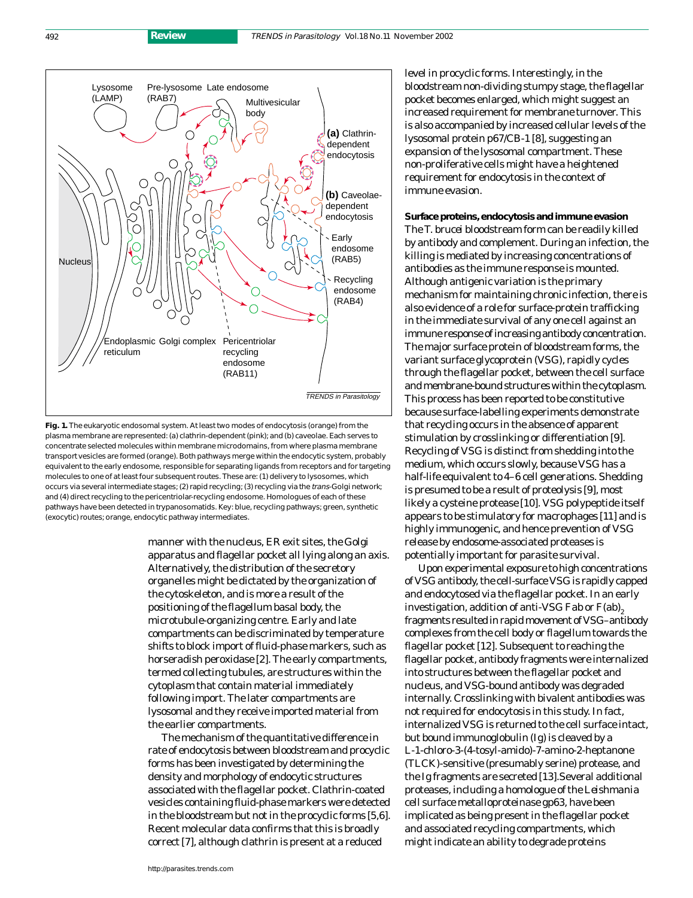

**Fig. 1.** The eukaryotic endosomal system. At least two modes of endocytosis (orange) from the plasma membrane are represented: (a) clathrin-dependent (pink); and (b) caveolae. Each serves to concentrate selected molecules within membrane microdomains, from where plasma membrane transport vesicles are formed (orange). Both pathways merge within the endocytic system, probably equivalent to the early endosome, responsible for separating ligands from receptors and for targeting molecules to one of at least four subsequent routes. These are: (1) delivery to lysosomes, which occurs via several intermediate stages; (2) rapid recycling; (3) recycling via the trans-Golgi network; and (4) direct recycling to the pericentriolar-recycling endosome. Homologues of each of these pathways have been detected in trypanosomatids. Key: blue, recycling pathways; green, synthetic (exocytic) routes; orange, endocytic pathway intermediates.

manner with the nucleus, ER exit sites, the Golgi apparatus and flagellar pocket all lying along an axis. Alternatively, the distribution of the secretory organelles might be dictated by the organization of the cytoskeleton, and is more a result of the positioning of the flagellum basal body, the microtubule-organizing centre. Early and late compartments can be discriminated by temperature shifts to block import of fluid-phase markers, such as horseradish peroxidase [2]. The early compartments, termed collecting tubules, are structures within the cytoplasm that contain material immediately following import. The later compartments are lysosomal and they receive imported material from the earlier compartments.

The mechanism of the quantitative difference in rate of endocytosis between bloodstream and procyclic forms has been investigated by determining the density and morphology of endocytic structures associated with the flagellar pocket. Clathrin-coated vesicles containing fluid-phase markers were detected in the bloodstream but not in the procyclic forms [5,6]. Recent molecular data confirms that this is broadly correct [7], although clathrin is present at a reduced

level in procyclic forms. Interestingly, in the bloodstream non-dividing stumpy stage, the flagellar pocket becomes enlarged, which might suggest an increased requirement for membrane turnover. This is also accompanied by increased cellular levels of the lysosomal protein p67/CB-1 [8], suggesting an expansion of the lysosomal compartment. These non-proliferative cells might have a heightened requirement for endocytosis in the context of immune evasion.

**Surface proteins, endocytosis and immune evasion** The *T. brucei* bloodstream form can be readily killed by antibody and complement. During an infection, the killing is mediated by increasing concentrations of antibodies as the immune response is mounted. Although antigenic variation is the primary mechanism for maintaining chronic infection, there is also evidence of a role for surface-protein trafficking in the immediate survival of any one cell against an immune response of increasing antibody concentration. The major surface protein of bloodstream forms, the variant surface glycoprotein (VSG), rapidly cycles through the flagellar pocket, between the cell surface and membrane-bound structures within the cytoplasm. This process has been reported to be constitutive because surface-labelling experiments demonstrate that recycling occurs in the absence of apparent stimulation by crosslinking or differentiation [9]. Recycling of VSG is distinct from shedding into the medium, which occurs slowly, because VSG has a half-life equivalent to 4–6 cell generations. Shedding is presumed to be a result of proteolysis [9], most likely a cysteine protease [10]. VSG polypeptide itself appears to be stimulatory for macrophages [11] and is highly immunogenic, and hence prevention of VSG release by endosome-associated proteases is potentially important for parasite survival.

Upon experimental exposure to high concentrations of VSG antibody, the cell-surface VSG is rapidly capped and endocytosed via the flagellar pocket. In an early investigation, addition of anti-VSG Fab or  $F(ab)$ <sub>2</sub> fragments resulted in rapid movement of VSG–antibody complexes from the cell body or flagellum towards the flagellar pocket [12]. Subsequent to reaching the flagellar pocket, antibody fragments were internalized into structures between the flagellar pocket and nucleus, and VSG-bound antibody was degraded internally. Crosslinking with bivalent antibodies was not required for endocytosis in this study. In fact, internalized VSG is returned to the cell surface intact, but bound immunoglobulin (Ig) is cleaved by a L-1-chloro-3-(4-tosyl-amido)-7-amino-2-heptanone (TLCK)-sensitive (presumably serine) protease, and the Ig fragments are secreted [13].Several additional proteases, including a homologue of the *Leishmania* cell surface metalloproteinase gp63, have been implicated as being present in the flagellar pocket and associated recycling compartments, which might indicate an ability to degrade proteins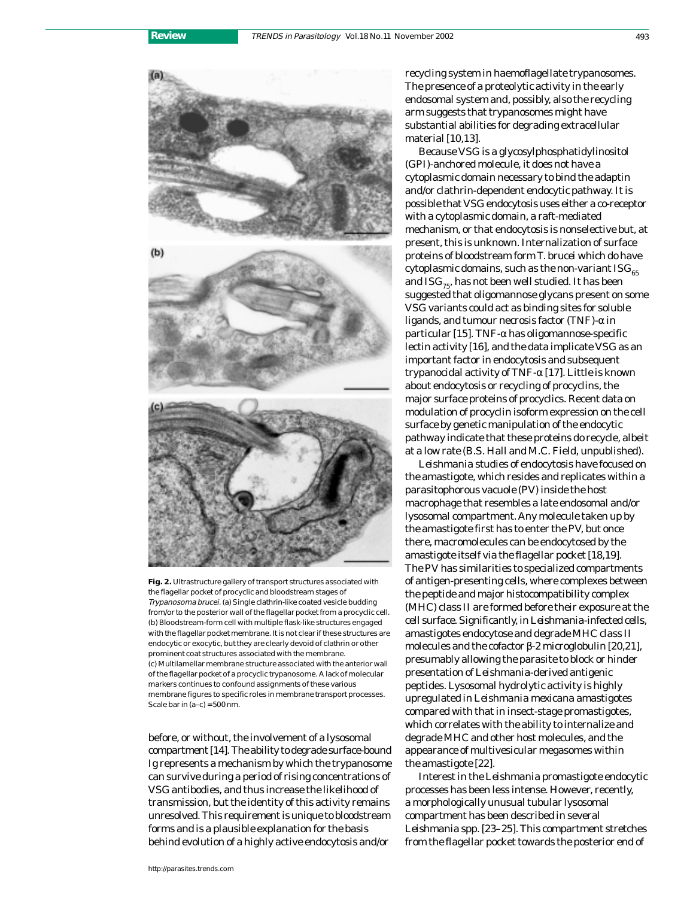

**Fig. 2.** Ultrastructure gallery of transport structures associated with the flagellar pocket of procyclic and bloodstream stages of Trypanosoma brucei. (a) Single clathrin-like coated vesicle budding from/or to the posterior wall of the flagellar pocket from a procyclic cell. (b) Bloodstream-form cell with multiple flask-like structures engaged with the flagellar pocket membrane. It is not clear if these structures are endocytic or exocytic, but they are clearly devoid of clathrin or other prominent coat structures associated with the membrane. (c) Multilamellar membrane structure associated with the anterior wall of the flagellar pocket of a procyclic trypanosome. A lack of molecular markers continues to confound assignments of these various membrane figures to specific roles in membrane transport processes. Scale bar in  $(a-c) = 500$  nm.

before, or without, the involvement of a lysosomal compartment [14]. The ability to degrade surface-bound Ig represents a mechanism by which the trypanosome can survive during a period of rising concentrations of VSG antibodies, and thus increase the likelihood of transmission, but the identity of this activity remains unresolved. This requirement is unique to bloodstream forms and is a plausible explanation for the basis behind evolution of a highly active endocytosis and/or

recycling system in haemoflagellate trypanosomes. The presence of a proteolytic activity in the early endosomal system and, possibly, also the recycling arm suggests that trypanosomes might have substantial abilities for degrading extracellular material [10,13].

Because VSG is a glycosylphosphatidylinositol (GPI)-anchored molecule, it does not have a cytoplasmic domain necessary to bind the adaptin and/or clathrin-dependent endocytic pathway. It is possible that VSG endocytosis uses either a co-receptor with a cytoplasmic domain, a raft-mediated mechanism, or that endocytosis is nonselective but, at present, this is unknown. Internalization of surface proteins of bloodstream form *T. brucei* which do have cytoplasmic domains, such as the non-variant  $ISG<sub>65</sub>$ and  $\text{ISG}_{75}$ , has not been well studied. It has been suggested that oligomannose glycans present on some VSG variants could act as binding sites for soluble ligands, and tumour necrosis factor (TNF)-α in particular [15]. TNF-α has oligomannose-specific lectin activity [16], and the data implicate VSG as an important factor in endocytosis and subsequent trypanocidal activity of TNF-α [17]. Little is known about endocytosis or recycling of procyclins, the major surface proteins of procyclics. Recent data on modulation of procyclin isoform expression on the cell surface by genetic manipulation of the endocytic pathway indicate that these proteins do recycle, albeit at a low rate (B.S. Hall and M.C. Field, unpublished).

*Leishmania* studies of endocytosis have focused on the amastigote, which resides and replicates within a parasitophorous vacuole (PV) inside the host macrophage that resembles a late endosomal and/or lysosomal compartment. Any molecule taken up by the amastigote first has to enter the PV, but once there, macromolecules can be endocytosed by the amastigote itself via the flagellar pocket [18,19]. The PV has similarities to specialized compartments of antigen-presenting cells, where complexes between the peptide and major histocompatibility complex (MHC) class II are formed before their exposure at the cell surface. Significantly, in *Leishmania*-infected cells, amastigotes endocytose and degrade MHC class II molecules and the cofactor β-2 microglobulin [20,21], presumably allowing the parasite to block or hinder presentation of *Leishmania*-derived antigenic peptides. Lysosomal hydrolytic activity is highly upregulated in *Leishmania mexicana* amastigotes compared with that in insect-stage promastigotes, which correlates with the ability to internalize and degrade MHC and other host molecules, and the appearance of multivesicular megasomes within the amastigote [22].

Interest in the *Leishmania* promastigote endocytic processes has been less intense. However, recently, a morphologically unusual tubular lysosomal compartment has been described in several *Leishmania* spp. [23–25]. This compartment stretches from the flagellar pocket towards the posterior end of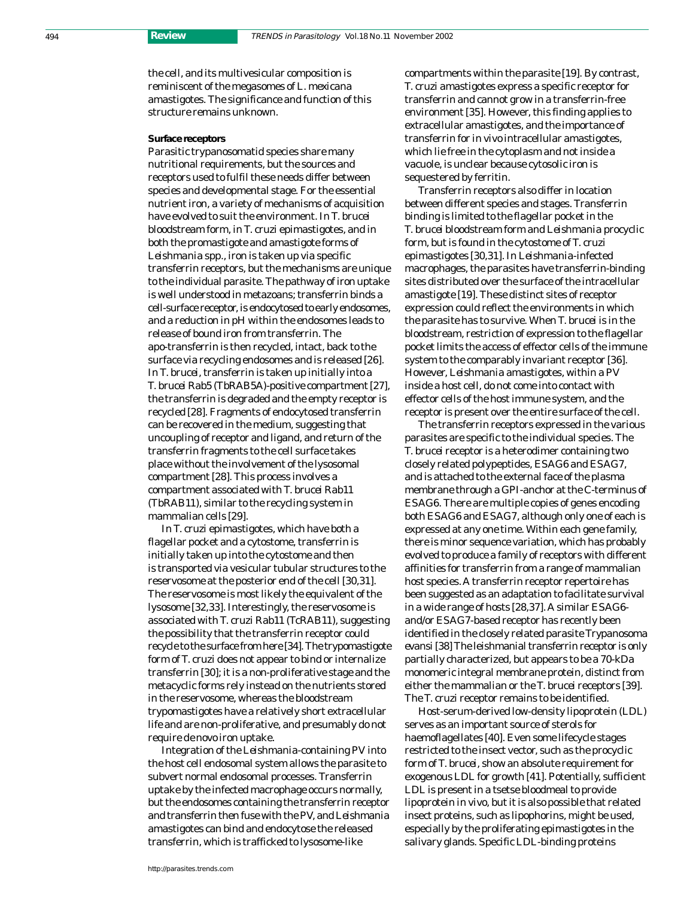the cell, and its multivesicular composition is reminiscent of the megasomes of *L. mexicana* amastigotes. The significance and function of this structure remains unknown.

#### **Surface receptors**

Parasitic trypanosomatid species share many nutritional requirements, but the sources and receptors used to fulfil these needs differ between species and developmental stage. For the essential nutrient iron, a variety of mechanisms of acquisition have evolved to suit the environment. In *T. brucei* bloodstream form, in *T. cruzi* epimastigotes, and in both the promastigote and amastigote forms of *Leishmania* spp., iron is taken up via specific transferrin receptors, but the mechanisms are unique to the individual parasite. The pathway of iron uptake is well understood in metazoans; transferrin binds a cell-surface receptor, is endocytosed to early endosomes, and a reduction in pH within the endosomes leads to release of bound iron from transferrin. The apo-transferrin is then recycled, intact, back to the surface via recycling endosomes and is released [26]. In *T. brucei*, transferrin is taken up initially into a *T. brucei* Rab5 (TbRAB5A)-positive compartment [27], the transferrin is degraded and the empty receptor is recycled [28]. Fragments of endocytosed transferrin can be recovered in the medium, suggesting that uncoupling of receptor and ligand, and return of the transferrin fragments to the cell surface takes place without the involvement of the lysosomal compartment [28]. This process involves a compartment associated with *T. brucei* Rab11 (TbRAB11), similar to the recycling system in mammalian cells [29].

In *T. cruzi* epimastigotes, which have both a flagellar pocket and a cytostome, transferrin is initially taken up into the cytostome and then is transported via vesicular tubular structures to the reservosome at the posterior end of the cell [30,31]. The reservosome is most likely the equivalent of the lysosome [32,33]. Interestingly, the reservosome is associated with *T. cruzi* Rab11 (TcRAB11), suggesting the possibility that the transferrin receptor could recycle to the surface from here [34]. The trypomastigote form of *T. cruzi* does not appear to bind or internalize transferrin [30]; it is a non-proliferative stage and the metacyclic forms rely instead on the nutrients stored in the reservosome, whereas the bloodstream trypomastigotes have a relatively short extracellular life and are non-proliferative, and presumably do not require *de novo* iron uptake.

Integration of the *Leishmania*-containing PV into the host cell endosomal system allows the parasite to subvert normal endosomal processes. Transferrin uptake by the infected macrophage occurs normally, but the endosomes containing the transferrin receptor and transferrin then fuse with the PV, and *Leishmania* amastigotes can bind and endocytose the released transferrin, which is trafficked to lysosome-like

compartments within the parasite [19]. By contrast, *T. cruzi* amastigotes express a specific receptor for transferrin and cannot grow in a transferrin-free environment [35]. However, this finding applies to extracellular amastigotes, and the importance of transferrin for *in vivo* intracellular amastigotes, which lie free in the cytoplasm and not inside a vacuole, is unclear because cytosolic iron is sequestered by ferritin.

Transferrin receptors also differ in location between different species and stages. Transferrin binding is limited to the flagellar pocket in the *T. brucei* bloodstream form and *Leishmania* procyclic form, but is found in the cytostome of *T. cruzi* epimastigotes [30,31]. In *Leishmania*-infected macrophages, the parasites have transferrin-binding sites distributed over the surface of the intracellular amastigote [19]. These distinct sites of receptor expression could reflect the environments in which the parasite has to survive. When *T. brucei* is in the bloodstream, restriction of expression to the flagellar pocket limits the access of effector cells of the immune system to the comparably invariant receptor [36]. However, *Leishmania* amastigotes, within a PV inside a host cell, do not come into contact with effector cells of the host immune system, and the receptor is present over the entire surface of the cell.

The transferrin receptors expressed in the various parasites are specific to the individual species. The *T. brucei* receptor is a heterodimer containing two closely related polypeptides, ESAG6 and ESAG7, and is attached to the external face of the plasma membrane through a GPI-anchor at the C-terminus of ESAG6. There are multiple copies of genes encoding both ESAG6 and ESAG7, although only one of each is expressed at any one time. Within each gene family, there is minor sequence variation, which has probably evolved to produce a family of receptors with different affinities for transferrin from a range of mammalian host species. A transferrin receptor repertoire has been suggested as an adaptation to facilitate survival in a wide range of hosts [28,37]. A similar ESAG6 and/or ESAG7-based receptor has recently been identified in the closely related parasite *Trypanosoma evansi*[38] The leishmanial transferrin receptor is only partially characterized, but appears to be a 70-kDa monomeric integral membrane protein, distinct from either the mammalian or the *T. brucei* receptors [39]. The *T. cruzi* receptor remains to be identified.

Host-serum-derived low-density lipoprotein (LDL) serves as an important source of sterols for haemoflagellates [40]. Even some lifecycle stages restricted to the insect vector, such as the procyclic form of *T. brucei*, show an absolute requirement for exogenous LDL for growth [41]. Potentially, sufficient LDL is present in a tsetse bloodmeal to provide lipoprotein *in vivo*, but it is also possible that related insect proteins, such as lipophorins, might be used, especially by the proliferating epimastigotes in the salivary glands. Specific LDL-binding proteins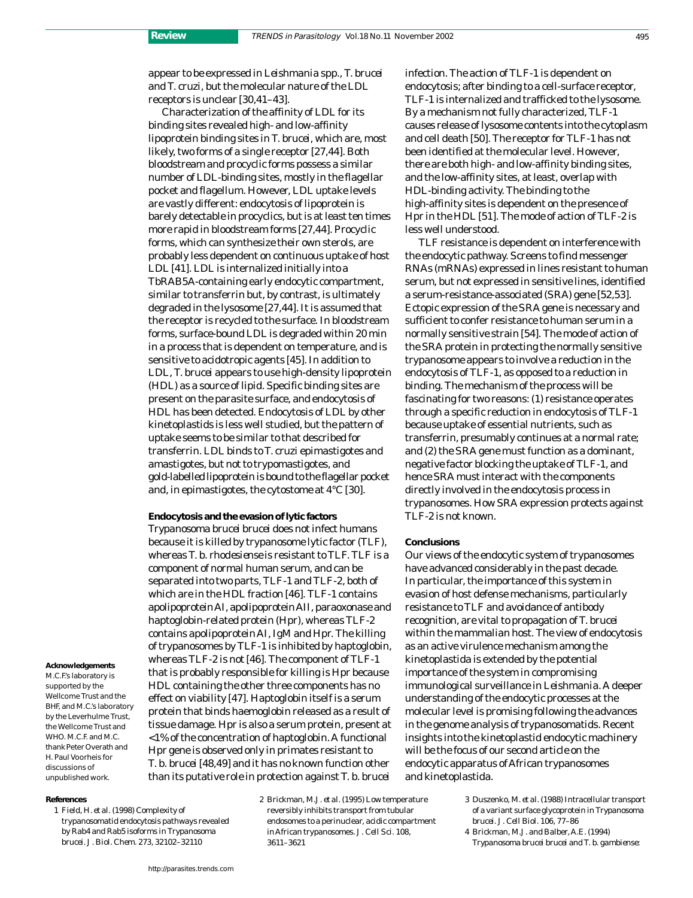appear to be expressed in *Leishmania* spp., *T. brucei* and *T. cruzi*, but the molecular nature of the LDL receptors is unclear [30,41–43].

Characterization of the affinity of LDL for its binding sites revealed high- and low-affinity lipoprotein binding sites in *T. brucei*, which are, most likely, two forms of a single receptor [27,44]. Both bloodstream and procyclic forms possess a similar number of LDL-binding sites, mostly in the flagellar pocket and flagellum. However, LDL uptake levels are vastly different: endocytosis of lipoprotein is barely detectable in procyclics, but is at least ten times more rapid in bloodstream forms [27,44]. Procyclic forms, which can synthesize their own sterols, are probably less dependent on continuous uptake of host LDL [41]. LDL is internalized initially into a TbRAB5A-containing early endocytic compartment, similar to transferrin but, by contrast, is ultimately degraded in the lysosome [27,44]. It is assumed that the receptor is recycled to the surface. In bloodstream forms, surface-bound LDL is degraded within 20 min in a process that is dependent on temperature, and is sensitive to acidotropic agents [45]. In addition to LDL, *T. brucei* appears to use high-density lipoprotein (HDL) as a source of lipid. Specific binding sites are present on the parasite surface, and endocytosis of HDL has been detected. Endocytosis of LDL by other kinetoplastids is less well studied, but the pattern of uptake seems to be similar to that described for transferrin. LDL binds to *T. cruzi* epimastigotes and amastigotes, but not to trypomastigotes, and gold-labelled lipoprotein is bound to the flagellar pocket and, in epimastigotes, the cytostome at 4°C [30].

**Endocytosis and the evasion of lytic factors** *Trypanosoma brucei brucei* does not infect humans because it is killed by trypanosome lytic factor (TLF), whereas *T. b. rhodesiense* is resistant to TLF. TLF is a component of normal human serum, and can be separated into two parts, TLF-1 and TLF-2, both of which are in the HDL fraction [46]. TLF-1 contains apolipoprotein AI, apolipoprotein AII, paraoxonase and haptoglobin-related protein (Hpr), whereas TLF-2 contains apolipoprotein AI, IgM and Hpr. The killing of trypanosomes by TLF-1 is inhibited by haptoglobin, whereas TLF-2 is not [46]. The component of TLF-1 that is probably responsible for killing is Hpr because HDL containing the other three components has no effect on viability [47]. Haptoglobin itself is a serum protein that binds haemoglobin released as a result of tissue damage. Hpr is also a serum protein, present at <1% of the concentration of haptoglobin. A functional *Hpr* gene is observed only in primates resistant to *T. b. brucei* [48,49] and it has no known function other than its putative role in protection against *T. b. brucei*

M.C.F.'s laboratory is supported by the Wellcome Trust and the

**Acknowledgements**

BHF, and M.C.'s laboratory by the Leverhulme Trust, the Wellcome Trust and WHO. M.C.F. and M.C. thank Peter Overath and H. Paul Voorheis for discussions of unpublished work.

#### **References**

1 Field, H. *et al.* (1998) Complexity of trypanosomatid endocytosis pathways revealed by Rab4 and Rab5 isoforms *in Trypanosoma brucei. J. Biol. Chem.* 273, 32102–32110

2 Brickman, M.J. *et al.* (1995) Low temperature reversibly inhibits transport from tubular endosomes to a perinuclear, acidic compartment in African trypanosomes. *J. Cell Sci.* 108, 3611–3621

infection. The action of TLF-1 is dependent on endocytosis; after binding to a cell-surface receptor, TLF-1 is internalized and trafficked to the lysosome. By a mechanism not fully characterized, TLF-1 causes release of lysosome contents into the cytoplasm and cell death [50]. The receptor for TLF-1 has not been identified at the molecular level. However, there are both high- and low-affinity binding sites, and the low-affinity sites, at least, overlap with HDL-binding activity. The binding to the high-affinity sites is dependent on the presence of Hpr in the HDL [51]. The mode of action of TLF-2 is less well understood.

TLF resistance is dependent on interference with the endocytic pathway. Screens to find messenger RNAs (mRNAs) expressed in lines resistant to human serum, but not expressed in sensitive lines, identified a serum-resistance-associated (*SRA*) gene [52,53]. Ectopic expression of the *SRA* gene is necessary and sufficient to confer resistance to human serum in a normally sensitive strain [54]. The mode of action of the SRA protein in protecting the normally sensitive trypanosome appears to involve a reduction in the endocytosis of TLF-1, as opposed to a reduction in binding. The mechanism of the process will be fascinating for two reasons: (1) resistance operates through a specific reduction in endocytosis of TLF-1 because uptake of essential nutrients, such as transferrin, presumably continues at a normal rate; and (2) the *SRA* gene must function as a dominant, negative factor blocking the uptake of TLF-1, and hence SRA must interact with the components directly involved in the endocytosis process in trypanosomes. How SRA expression protects against TLF-2 is not known.

### **Conclusions**

Our views of the endocytic system of trypanosomes have advanced considerably in the past decade. In particular, the importance of this system in evasion of host defense mechanisms, particularly resistance to TLF and avoidance of antibody recognition, are vital to propagation of *T. brucei* within the mammalian host. The view of endocytosis as an active virulence mechanism among the kinetoplastida is extended by the potential importance of the system in compromising immunological surveillance in *Leishmania.*A deeper understanding of the endocytic processes at the molecular level is promising following the advances in the genome analysis of trypanosomatids. Recent insights into the kinetoplastid endocytic machinery will be the focus of our second article on the endocytic apparatus of African trypanosomes and kinetoplastida.

- 3 Duszenko, M. *et al.* (1988) Intracellular transport of a variant surface glycoprotein in *Trypanosoma brucei. J. Cell Biol.* 106, 77–86
- 4 Brickman, M.J. and Balber, A.E. (1994) *Trypanosoma brucei brucei* and *T. b. gambiense*: